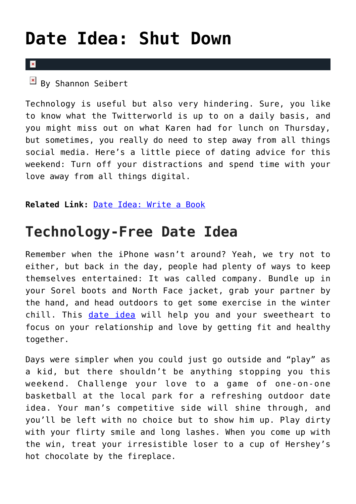## **[Date Idea: Shut Down](https://cupidspulse.com/75812/date-idea-shut-down-unplug-technology/)**

## $\overline{\mathbf{x}}$

 $By$  Shannon Seibert

Technology is useful but also very hindering. Sure, you like to know what the Twitterworld is up to on a daily basis, and you might miss out on what Karen had for lunch on Thursday, but sometimes, you really do need to step away from all things social media. Here's a little piece of dating advice for this weekend: Turn off your distractions and spend time with your love away from all things digital.

**Related Link:** [Date Idea: Write a Book](http://cupidspulse.com/date-idea-write-a-book-poem-love-sonnet/)

## **Technology-Free Date Idea**

Remember when the iPhone wasn't around? Yeah, we try not to either, but back in the day, people had plenty of ways to keep themselves entertained: It was called company. Bundle up in your Sorel boots and North Face jacket, grab your partner by the hand, and head outdoors to get some exercise in the winter chill. This [date idea](http://cupidspulse.com/wp-admin/post.php?post=75815&action=edit&message=1) will help you and your sweetheart to focus on your relationship and love by getting fit and healthy together.

Days were simpler when you could just go outside and "play" as a kid, but there shouldn't be anything stopping you this weekend. Challenge your love to a game of one-on-one basketball at the local park for a refreshing outdoor date idea. Your man's competitive side will shine through, and you'll be left with no choice but to show him up. Play dirty with your flirty smile and long lashes. When you come up with the win, treat your irresistible loser to a cup of Hershey's hot chocolate by the fireplace.